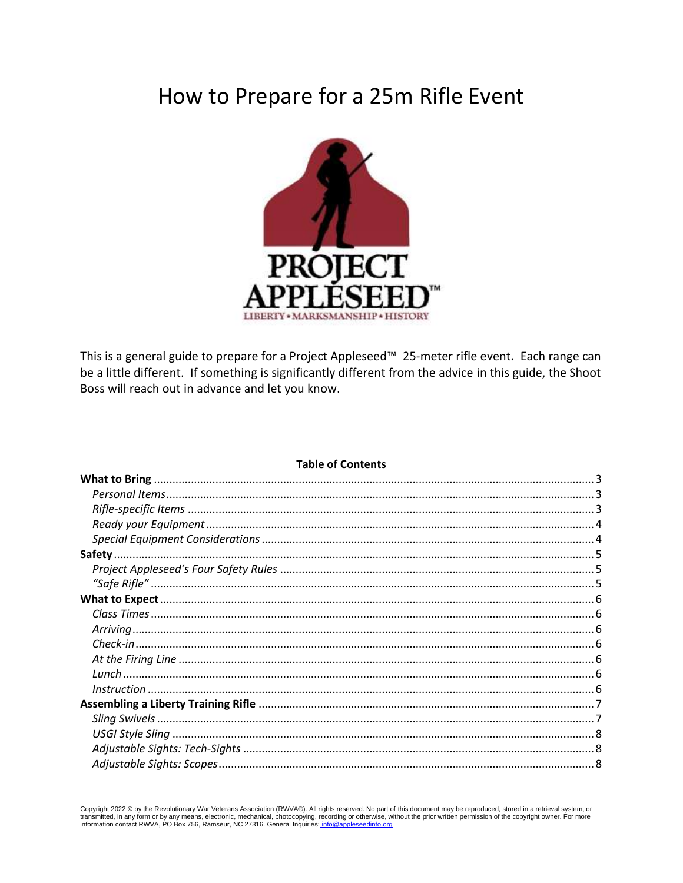# How to Prepare for a 25m Rifle Event



This is a general guide to prepare for a Project Appleseed™ 25-meter rifle event. Each range can be a little different. If something is significantly different from the advice in this guide, the Shoot Boss will reach out in advance and let you know.

#### **Table of Contents**

Copyright 2022 © by the Revolutionary War Veterans Association (RWVA®). All rights reserved. No part of this document may be reproduced, stored in a retrieval system, or transmitted, in any form or by any means, electronic, mechanical, photocopying, recording or otherwise, without the prior written permission of the copyright owner. For more information contact RWVA, PO Box 756, Ramseur, N seedinfo.org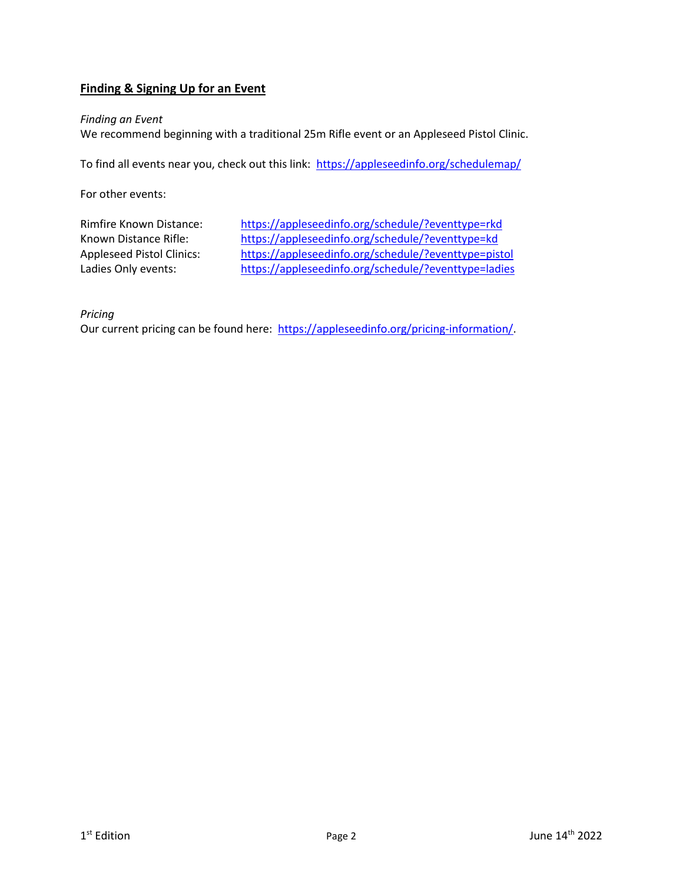# **Finding & Signing Up for an Event**

#### *Finding an Event*

We recommend beginning with a traditional 25m Rifle event or an Appleseed Pistol Clinic.

To find all events near you, check out this link: https://appleseedinfo.org/schedulemap/

For other events:

Rimfire Known Distance: <https://appleseedinfo.org/schedule/?eventtype=rkd> Known Distance Rifle: <https://appleseedinfo.org/schedule/?eventtype=kd> Appleseed Pistol Clinics: <https://appleseedinfo.org/schedule/?eventtype=pistol> Ladies Only events: <https://appleseedinfo.org/schedule/?eventtype=ladies>

*Pricing*

Our current pricing can be found here: [https://appleseedinfo.org/pricing-information/.](https://appleseedinfo.org/pricing-information/)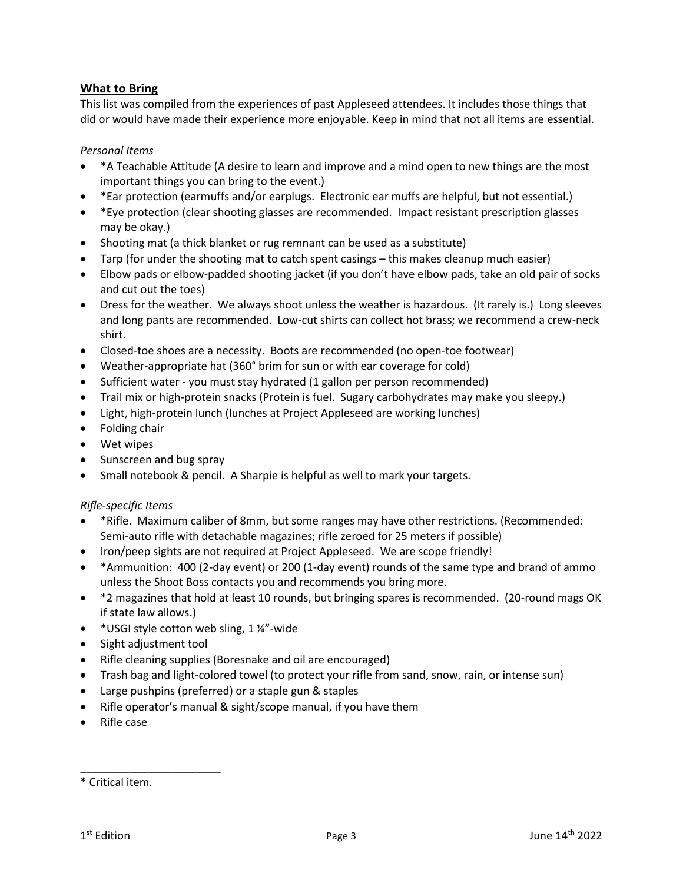# <span id="page-2-0"></span>**What to Bring**

This list was compiled from the experiences of past Appleseed attendees. It includes those things that did or would have made their experience more enjoyable. Keep in mind that not all items are essential.

# <span id="page-2-1"></span>*Personal Items*

- \*A Teachable Attitude (A desire to learn and improve and a mind open to new things are the most important things you can bring to the event.)
- \*Ear protection (earmuffs and/or earplugs. Electronic ear muffs are helpful, but not essential.)
- \*Eye protection (clear shooting glasses are recommended. Impact resistant prescription glasses may be okay.)
- Shooting mat (a thick blanket or rug remnant can be used as a substitute)
- Tarp (for under the shooting mat to catch spent casings this makes cleanup much easier)
- Elbow pads or elbow-padded shooting jacket (if you don't have elbow pads, take an old pair of socks and cut out the toes)
- Dress for the weather. We always shoot unless the weather is hazardous. (It rarely is.) Long sleeves and long pants are recommended. Low-cut shirts can collect hot brass; we recommend a crew-neck shirt.
- Closed-toe shoes are a necessity. Boots are recommended (no open-toe footwear)
- Weather-appropriate hat (360° brim for sun or with ear coverage for cold)
- Sufficient water you must stay hydrated (1 gallon per person recommended)
- Trail mix or high-protein snacks (Protein is fuel. Sugary carbohydrates may make you sleepy.)
- Light, high-protein lunch (lunches at Project Appleseed are working lunches)
- Folding chair
- Wet wipes
- Sunscreen and bug spray
- Small notebook & pencil. A Sharpie is helpful as well to mark your targets.

# <span id="page-2-2"></span>*Rifle-specific Items*

- \*Rifle. Maximum caliber of 8mm, but some ranges may have other restrictions. (Recommended: Semi-auto rifle with detachable magazines; rifle zeroed for 25 meters if possible)
- Iron/peep sights are not required at Project Appleseed. We are scope friendly!
- \*Ammunition: 400 (2-day event) or 200 (1-day event) rounds of the same type and brand of ammo unless the Shoot Boss contacts you and recommends you bring more.
- \*2 magazines that hold at least 10 rounds, but bringing spares is recommended. (20-round mags OK if state law allows.)
- \* USGI style cotton web sling, 1 ¼"-wide
- Sight adjustment tool

\_\_\_\_\_\_\_\_\_\_\_\_\_\_\_\_\_\_\_\_\_\_\_

- Rifle cleaning supplies (Boresnake and oil are encouraged)
- Trash bag and light-colored towel (to protect your rifle from sand, snow, rain, or intense sun)
- Large pushpins (preferred) or a staple gun & staples
- Rifle operator's manual & sight/scope manual, if you have them
- Rifle case

<sup>\*</sup> Critical item.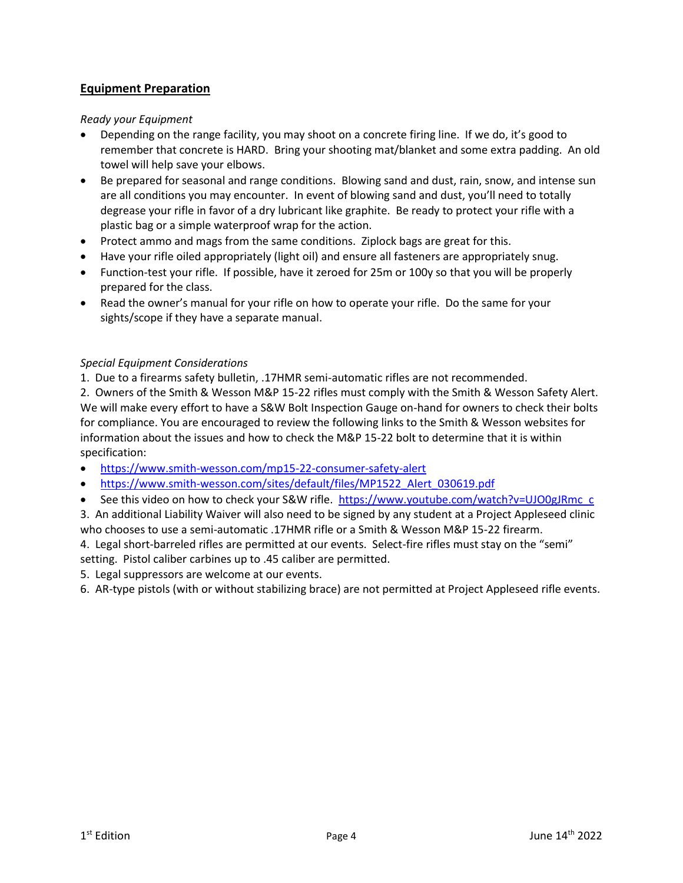# **Equipment Preparation**

# <span id="page-3-0"></span>*Ready your Equipment*

- Depending on the range facility, you may shoot on a concrete firing line. If we do, it's good to remember that concrete is HARD. Bring your shooting mat/blanket and some extra padding. An old towel will help save your elbows.
- Be prepared for seasonal and range conditions. Blowing sand and dust, rain, snow, and intense sun are all conditions you may encounter. In event of blowing sand and dust, you'll need to totally degrease your rifle in favor of a dry lubricant like graphite. Be ready to protect your rifle with a plastic bag or a simple waterproof wrap for the action.
- Protect ammo and mags from the same conditions. Ziplock bags are great for this.
- Have your rifle oiled appropriately (light oil) and ensure all fasteners are appropriately snug.
- Function-test your rifle. If possible, have it zeroed for 25m or 100y so that you will be properly prepared for the class.
- Read the owner's manual for your rifle on how to operate your rifle. Do the same for your sights/scope if they have a separate manual.

# <span id="page-3-1"></span>*Special Equipment Considerations*

1. Due to a firearms safety bulletin, .17HMR semi-automatic rifles are not recommended.

2. Owners of the Smith & Wesson M&P 15-22 rifles must comply with the Smith & Wesson Safety Alert. We will make every effort to have a S&W Bolt Inspection Gauge on-hand for owners to check their bolts for compliance. You are encouraged to review the following links to the Smith & Wesson websites for information about the issues and how to check the M&P 15-22 bolt to determine that it is within specification:

- <https://www.smith-wesson.com/mp15-22-consumer-safety-alert>
- [https://www.smith-wesson.com/sites/default/files/MP1522\\_Alert\\_030619.pdf](https://www.smith-wesson.com/sites/default/files/MP1522_Alert_030619.pdf)
- See this video on how to check your S&W rifle. [https://www.youtube.com/watch?v=UJO0gJRmc\\_c](https://www.youtube.com/watch?v=UJO0gJRmc_c)

3. An additional Liability Waiver will also need to be signed by any student at a Project Appleseed clinic who chooses to use a semi-automatic .17HMR rifle or a Smith & Wesson M&P 15-22 firearm.

4. Legal short-barreled rifles are permitted at our events. Select-fire rifles must stay on the "semi" setting. Pistol caliber carbines up to .45 caliber are permitted.

5. Legal suppressors are welcome at our events.

6. AR-type pistols (with or without stabilizing brace) are not permitted at Project Appleseed rifle events.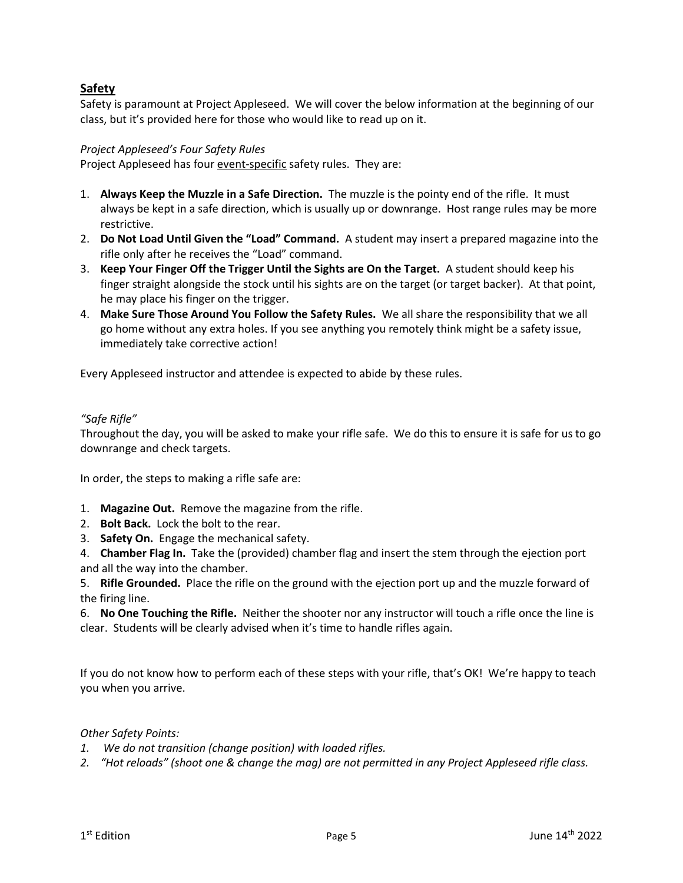# <span id="page-4-0"></span>**Safety**

Safety is paramount at Project Appleseed. We will cover the below information at the beginning of our class, but it's provided here for those who would like to read up on it.

# <span id="page-4-1"></span>*Project Appleseed's Four Safety Rules*

Project Appleseed has four event-specific safety rules. They are:

- 1. **Always Keep the Muzzle in a Safe Direction.** The muzzle is the pointy end of the rifle. It must always be kept in a safe direction, which is usually up or downrange. Host range rules may be more restrictive.
- 2. **Do Not Load Until Given the "Load" Command.** A student may insert a prepared magazine into the rifle only after he receives the "Load" command.
- 3. **Keep Your Finger Off the Trigger Until the Sights are On the Target.** A student should keep his finger straight alongside the stock until his sights are on the target (or target backer). At that point, he may place his finger on the trigger.
- 4. **Make Sure Those Around You Follow the Safety Rules.** We all share the responsibility that we all go home without any extra holes. If you see anything you remotely think might be a safety issue, immediately take corrective action!

Every Appleseed instructor and attendee is expected to abide by these rules.

# <span id="page-4-2"></span>*"Safe Rifle"*

Throughout the day, you will be asked to make your rifle safe. We do this to ensure it is safe for us to go downrange and check targets.

In order, the steps to making a rifle safe are:

- 1. **Magazine Out.** Remove the magazine from the rifle.
- 2. **Bolt Back.** Lock the bolt to the rear.
- 3. **Safety On.** Engage the mechanical safety.
- 4. **Chamber Flag In.** Take the (provided) chamber flag and insert the stem through the ejection port and all the way into the chamber.

5. **Rifle Grounded.** Place the rifle on the ground with the ejection port up and the muzzle forward of the firing line.

6. **No One Touching the Rifle.** Neither the shooter nor any instructor will touch a rifle once the line is clear. Students will be clearly advised when it's time to handle rifles again.

If you do not know how to perform each of these steps with your rifle, that's OK! We're happy to teach you when you arrive.

# *Other Safety Points:*

- *1. We do not transition (change position) with loaded rifles.*
- *2. "Hot reloads" (shoot one & change the mag) are not permitted in any Project Appleseed rifle class.*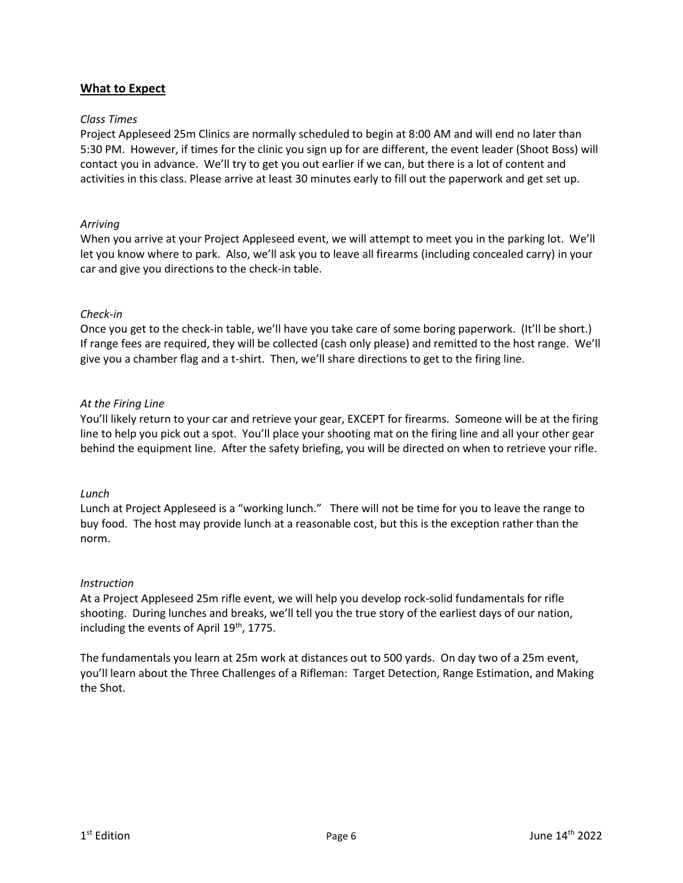# <span id="page-5-0"></span>**What to Expect**

#### <span id="page-5-1"></span>*Class Times*

Project Appleseed 25m Clinics are normally scheduled to begin at 8:00 AM and will end no later than 5:30 PM. However, if times for the clinic you sign up for are different, the event leader (Shoot Boss) will contact you in advance. We'll try to get you out earlier if we can, but there is a lot of content and activities in this class. Please arrive at least 30 minutes early to fill out the paperwork and get set up.

#### <span id="page-5-2"></span>*Arriving*

When you arrive at your Project Appleseed event, we will attempt to meet you in the parking lot. We'll let you know where to park. Also, we'll ask you to leave all firearms (including concealed carry) in your car and give you directions to the check-in table.

#### <span id="page-5-3"></span>*Check-in*

Once you get to the check-in table, we'll have you take care of some boring paperwork. (It'll be short.) If range fees are required, they will be collected (cash only please) and remitted to the host range. We'll give you a chamber flag and a t-shirt. Then, we'll share directions to get to the firing line.

#### <span id="page-5-4"></span>*At the Firing Line*

You'll likely return to your car and retrieve your gear, EXCEPT for firearms. Someone will be at the firing line to help you pick out a spot. You'll place your shooting mat on the firing line and all your other gear behind the equipment line. After the safety briefing, you will be directed on when to retrieve your rifle.

#### <span id="page-5-5"></span>*Lunch*

Lunch at Project Appleseed is a "working lunch." There will not be time for you to leave the range to buy food. The host may provide lunch at a reasonable cost, but this is the exception rather than the norm.

#### <span id="page-5-6"></span>*Instruction*

At a Project Appleseed 25m rifle event, we will help you develop rock-solid fundamentals for rifle shooting. During lunches and breaks, we'll tell you the true story of the earliest days of our nation, including the events of April 19<sup>th</sup>, 1775.

The fundamentals you learn at 25m work at distances out to 500 yards. On day two of a 25m event, you'll learn about the Three Challenges of a Rifleman: Target Detection, Range Estimation, and Making the Shot.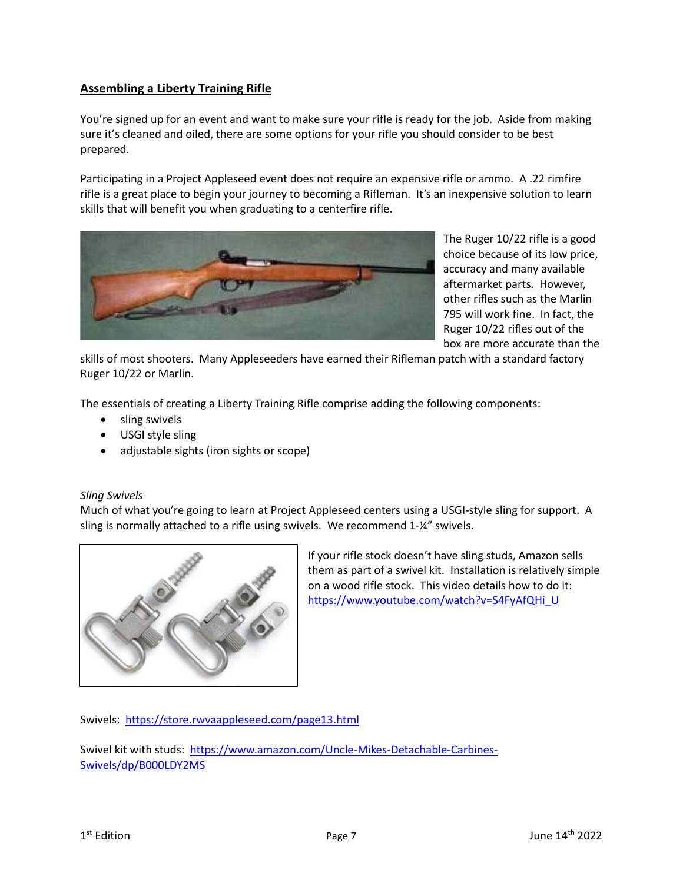# <span id="page-6-0"></span>**Assembling a Liberty Training Rifle**

You're signed up for an event and want to make sure your rifle is ready for the job. Aside from making sure it's cleaned and oiled, there are some options for your rifle you should consider to be best prepared.

Participating in a Project Appleseed event does not require an expensive rifle or ammo. A .22 rimfire rifle is a great place to begin your journey to becoming a Rifleman. It's an inexpensive solution to learn skills that will benefit you when graduating to a centerfire rifle.



The Ruger 10/22 rifle is a good choice because of its low price, accuracy and many available aftermarket parts. However, other rifles such as the Marlin 795 will work fine. In fact, the Ruger 10/22 rifles out of the box are more accurate than the

skills of most shooters. Many Appleseeders have earned their Rifleman patch with a standard factory Ruger 10/22 or Marlin.

The essentials of creating a Liberty Training Rifle comprise adding the following components:

- sling swivels
- USGI style sling
- adjustable sights (iron sights or scope)

# <span id="page-6-1"></span>*Sling Swivels*

Much of what you're going to learn at Project Appleseed centers using a USGI-style sling for support. A sling is normally attached to a rifle using swivels. We recommend 1-¼" swivels.



If your rifle stock doesn't have sling studs, Amazon sells them as part of a swivel kit. Installation is relatively simple on a wood rifle stock. This video details how to do it: [https://www.youtube.com/watch?v=S4FyAfQHi\\_U](https://www.youtube.com/watch?v=S4FyAfQHi_U) 

Swivels:<https://store.rwvaappleseed.com/page13.html>

Swivel kit with studs: [https://www.amazon.com/Uncle-Mikes-Detachable-Carbines-](https://www.amazon.com/Uncle-Mikes-Detachable-Carbines-Swivels/dp/B000LDY2MS)[Swivels/dp/B000LDY2MS](https://www.amazon.com/Uncle-Mikes-Detachable-Carbines-Swivels/dp/B000LDY2MS)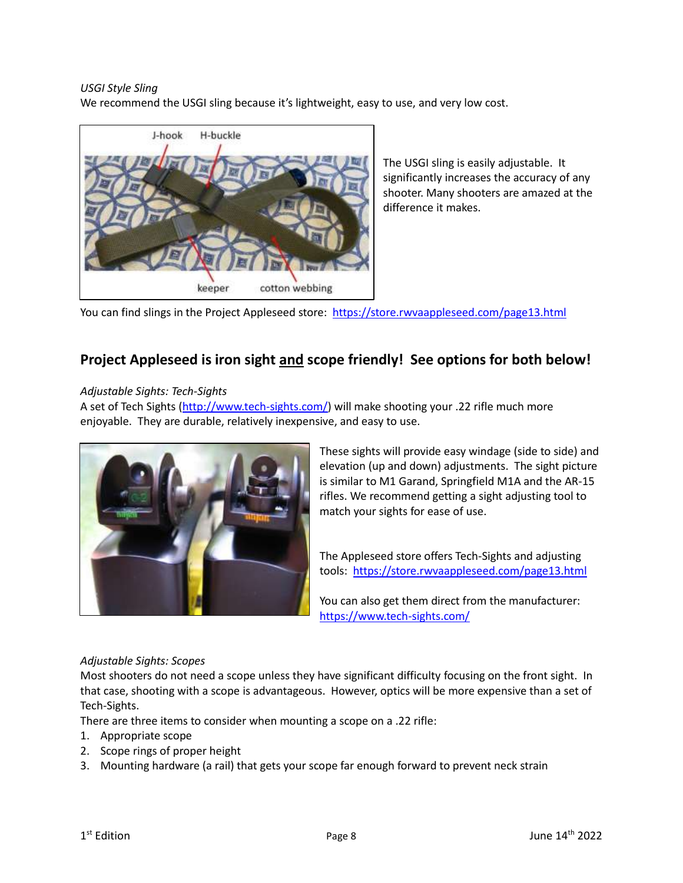<span id="page-7-0"></span>*USGI Style Sling*

We recommend the USGI sling because it's lightweight, easy to use, and very low cost.



The USGI sling is easily adjustable. It significantly increases the accuracy of any shooter. Many shooters are amazed at the difference it makes.

You can find slings in the Project Appleseed store: <https://store.rwvaappleseed.com/page13.html>

# **Project Appleseed is iron sight and scope friendly! See options for both below!**

# <span id="page-7-1"></span>*Adjustable Sights: Tech-Sights*

A set of Tech Sights [\(http://www.tech-sights.com/\)](http://www.tech-sights.com/) will make shooting your .22 rifle much more enjoyable. They are durable, relatively inexpensive, and easy to use.



These sights will provide easy windage (side to side) and elevation (up and down) adjustments. The sight picture is similar to M1 Garand, Springfield M1A and the AR-15 rifles. We recommend getting a sight adjusting tool to match your sights for ease of use.

The Appleseed store offers Tech-Sights and adjusting tools:<https://store.rwvaappleseed.com/page13.html>

You can also get them direct from the manufacturer: <https://www.tech-sights.com/>

# <span id="page-7-2"></span>*Adjustable Sights: Scopes*

Most shooters do not need a scope unless they have significant difficulty focusing on the front sight. In that case, shooting with a scope is advantageous. However, optics will be more expensive than a set of Tech-Sights.

There are three items to consider when mounting a scope on a .22 rifle:

- 1. Appropriate scope
- 2. Scope rings of proper height
- 3. Mounting hardware (a rail) that gets your scope far enough forward to prevent neck strain